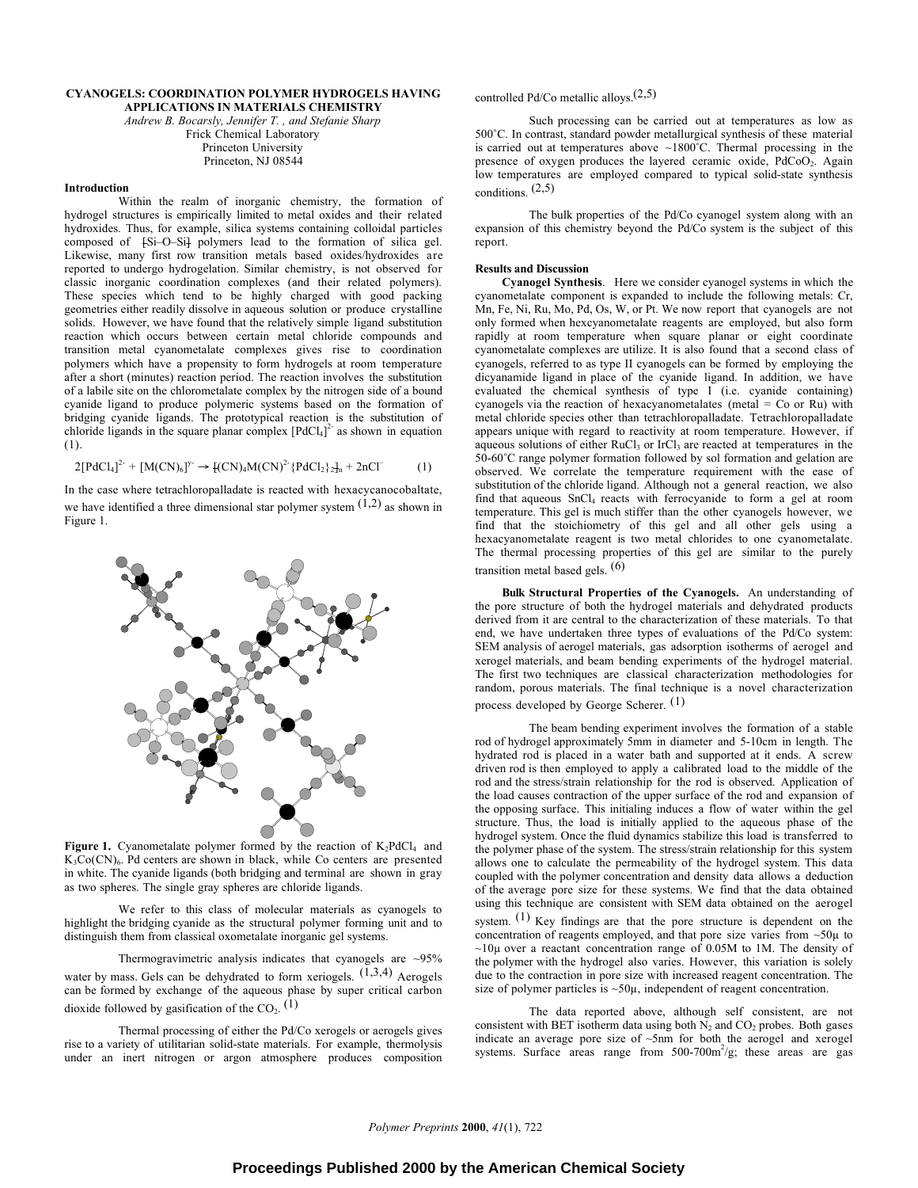#### **CYANOGELS: COORDINATION POLYMER HYDROGELS HAVING APPLICATIONS IN MATERIALS CHEMISTRY**

*Andrew B. Bocarsly, Jennifer T. , and Stefanie Sharp* Frick Chemical Laboratory Princeton University Princeton, NJ 08544

## **Introduction**

Within the realm of inorganic chemistry, the formation of hydrogel structures is empirically limited to metal oxides and their related hydroxides. Thus, for example, silica systems containing colloidal particles composed of  ${S_i-O-S_i}$  polymers lead to the formation of silica gel. Likewise, many first row transition metals based oxides/hydroxides are reported to undergo hydrogelation. Similar chemistry, is not observed for classic inorganic coordination complexes (and their related polymers). These species which tend to be highly charged with good packing geometries either readily dissolve in aqueous solution or produce crystalline solids. However, we have found that the relatively simple ligand substitution reaction which occurs between certain metal chloride compounds and transition metal cyanometalate complexes gives rise to coordination polymers which have a propensity to form hydrogels at room temperature after a short (minutes) reaction period. The reaction involves the substitution of a labile site on the chlorometalate complex by the nitrogen side of a bound cyanide ligand to produce polymeric systems based on the formation of bridging cyanide ligands. The prototypical reaction is the substitution of chloride ligands in the square planar complex  $[PdCl<sub>4</sub>]<sup>2</sup>$  as shown in equation (1).

$$
2[PdCl_4]^{2-} + [M(CN)_6]^{y-} \to [(CN)_4M(CN)^2 \cdot \{PdCl_2\}_2]_n + 2nCl^-
$$
 (1)

In the case where tetrachloropalladate is reacted with hexacycanocobaltate, we have identified a three dimensional star polymer system  $(1,2)$  as shown in Figure 1.



**Figure 1.** Cyanometalate polymer formed by the reaction of  $K_2PdCl_4$  and  $K_3Co(CN)_6$ . Pd centers are shown in black, while Co centers are presented in white. The cyanide ligands (both bridging and terminal are shown in gray as two spheres. The single gray spheres are chloride ligands.

We refer to this class of molecular materials as cyanogels to highlight the bridging cyanide as the structural polymer forming unit and to distinguish them from classical oxometalate inorganic gel systems.

Thermogravimetric analysis indicates that cyanogels are  $\sim$ 95% water by mass. Gels can be dehydrated to form xeriogels.  $(1,3,4)$  Aerogels can be formed by exchange of the aqueous phase by super critical carbon dioxide followed by gasification of the  $CO<sub>2</sub>$ . (1)

Thermal processing of either the Pd/Co xerogels or aerogels gives rise to a variety of utilitarian solid-state materials. For example, thermolysis under an inert nitrogen or argon atmosphere produces composition

# controlled Pd/Co metallic alloys.(2,5)

Such processing can be carried out at temperatures as low as 500˚C. In contrast, standard powder metallurgical synthesis of these material is carried out at temperatures above  $~1800^{\circ}$ C. Thermal processing in the presence of oxygen produces the layered ceramic oxide, PdCoO<sub>2</sub>. Again low temperatures are employed compared to typical solid-state synthesis conditions. (2,5)

The bulk properties of the Pd/Co cyanogel system along with an expansion of this chemistry beyond the Pd/Co system is the subject of this report.

## **Results and Discussion**

**Cyanogel Synthesis**.Here we consider cyanogel systems in which the cyanometalate component is expanded to include the following metals: Cr, Mn, Fe, Ni, Ru, Mo, Pd, Os, W, or Pt. We now report that cyanogels are not only formed when hexcyanometalate reagents are employed, but also form rapidly at room temperature when square planar or eight coordinate cyanometalate complexes are utilize. It is also found that a second class of cyanogels, referred to as type II cyanogels can be formed by employing the dicyanamide ligand in place of the cyanide ligand. In addition, we have evaluated the chemical synthesis of type I (i.e. cyanide containing) cyanogels via the reaction of hexacyanometalates (metal =  $Co$  or Ru) with metal chloride species other than tetrachloropalladate. Tetrachloropalladate appears unique with regard to reactivity at room temperature. However, if aqueous solutions of either RuCl<sub>3</sub> or IrCl<sub>3</sub> are reacted at temperatures in the 50-60˚C range polymer formation followed by sol formation and gelation are observed. We correlate the temperature requirement with the ease of substitution of the chloride ligand. Although not a general reaction, we also find that aqueous SnCl<sub>4</sub> reacts with ferrocyanide to form a gel at room temperature. This gel is much stiffer than the other cyanogels however, we find that the stoichiometry of this gel and all other gels using a hexacyanometalate reagent is two metal chlorides to one cyanometalate. The thermal processing properties of this gel are similar to the purely transition metal based gels. (6)

**Bulk Structural Properties of the Cyanogels.** An understanding of the pore structure of both the hydrogel materials and dehydrated products derived from it are central to the characterization of these materials. To that end, we have undertaken three types of evaluations of the Pd/Co system: SEM analysis of aerogel materials, gas adsorption isotherms of aerogel and xerogel materials, and beam bending experiments of the hydrogel material. The first two techniques are classical characterization methodologies for random, porous materials. The final technique is a novel characterization process developed by George Scherer. (1)

The beam bending experiment involves the formation of a stable rod of hydrogel approximately 5mm in diameter and 5-10cm in length. The hydrated rod is placed in a water bath and supported at it ends. A screw driven rod is then employed to apply a calibrated load to the middle of the rod and the stress/strain relationship for the rod is observed. Application of the load causes contraction of the upper surface of the rod and expansion of the opposing surface. This initialing induces a flow of water within the gel structure. Thus, the load is initially applied to the aqueous phase of the hydrogel system. Once the fluid dynamics stabilize this load is transferred to the polymer phase of the system. The stress/strain relationship for this system allows one to calculate the permeability of the hydrogel system. This data coupled with the polymer concentration and density data allows a deduction of the average pore size for these systems. We find that the data obtained using this technique are consistent with SEM data obtained on the aerogel system.  $(1)$  Key findings are that the pore structure is dependent on the concentration of reagents employed, and that pore size varies from  $~50\mu$  to  $\sim$ 10 $\mu$  over a reactant concentration range of 0.05M to 1M. The density of the polymer with the hydrogel also varies. However, this variation is solely due to the contraction in pore size with increased reagent concentration. The size of polymer particles is  $~50\mu$ , independent of reagent concentration.

The data reported above, although self consistent, are not consistent with BET isotherm data using both  $N_2$  and  $CO_2$  probes. Both gases indicate an average pore size of ~5nm for both the aerogel and xerogel systems. Surface areas range from 500-700m<sup>2</sup>/g; these areas are gas

*Polymer Preprints* **2000**, *41*(1), 722